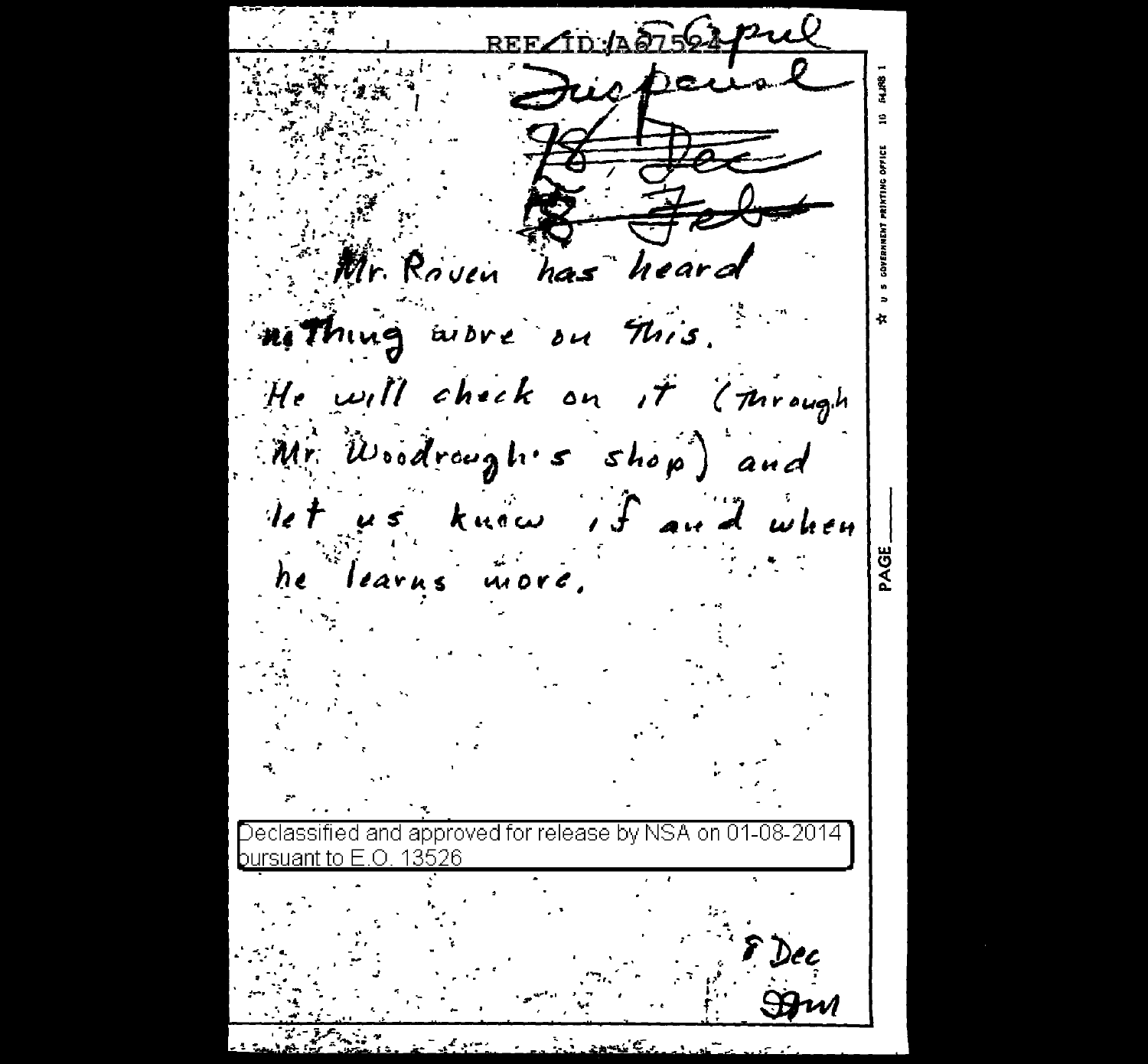REF. Mr. Roven has heard ni Thing wore on This. He will check on it (through Mr. Woodrough's shop) and let us know if and when PAGE learns more,  $he$ ap nroved for 13526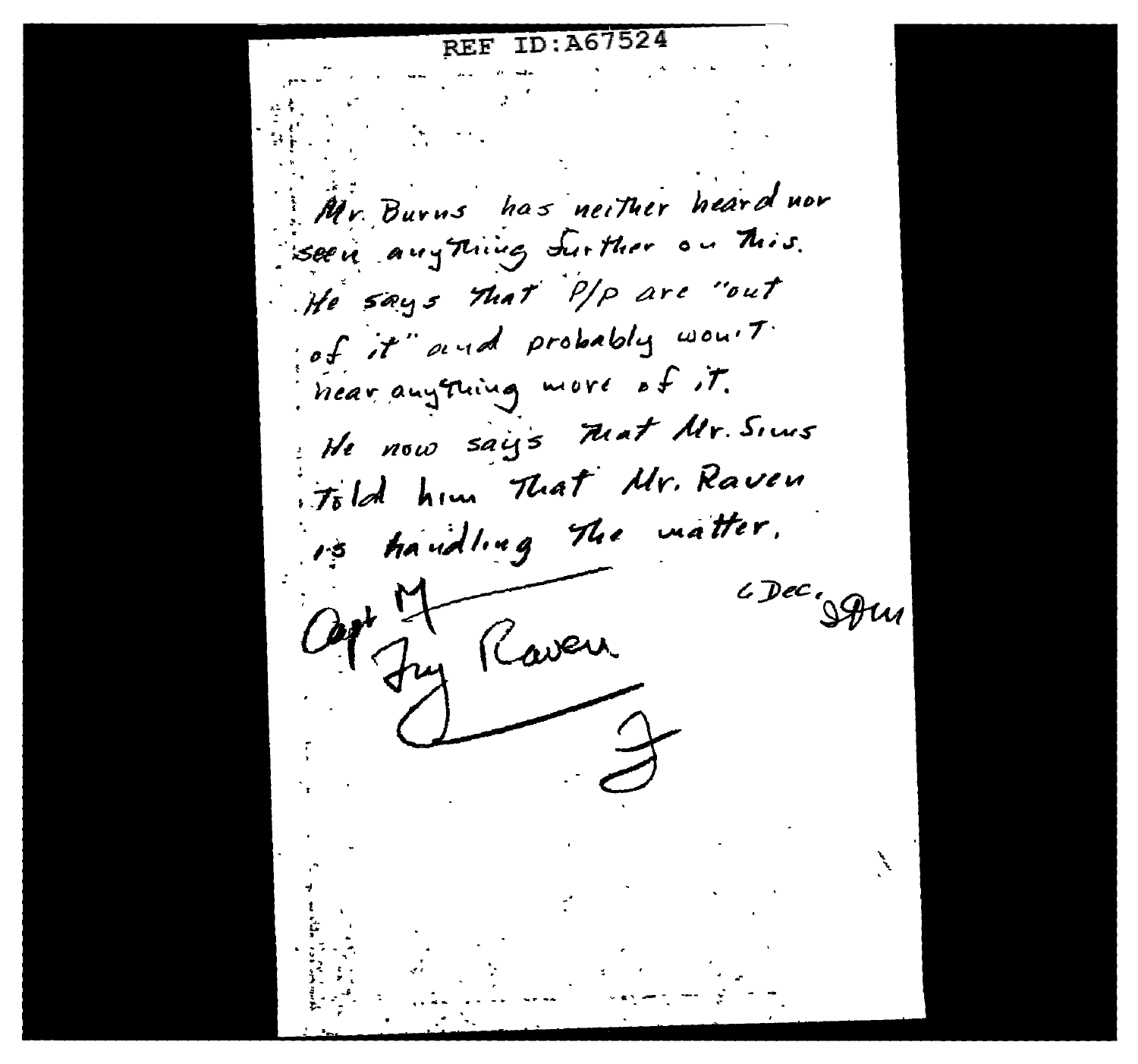REF ID: A67524 Mr. Burns has neither heard nor seen anything further on This. He says that P/P are "out of it" and probably would. near anything more of it. He now says Mat Mr. Siers itold him That Mr. Raven is handling The matter. c Dec. Sous My Raven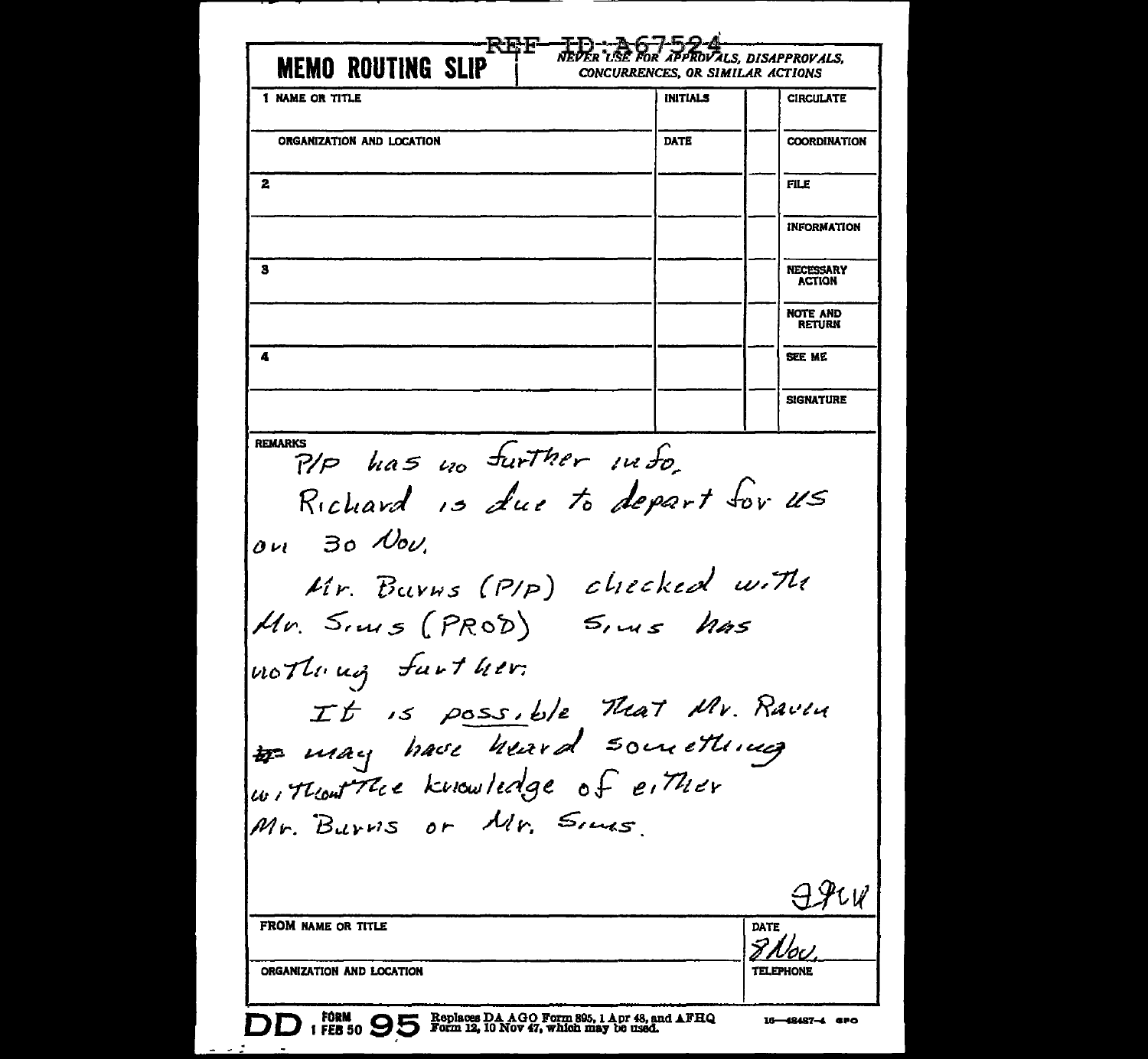NEUER "ISE FOR APPROVALS, DISAPPROVALS, **MEMO ROUTING SLIP** CONCURRENCES, OR SIMILAR ACTIONS 1 NAME OR TITLE **INITIALS CIRCULATE COORDINATION** ORGANIZATION AND LOCATION DATE  $\overline{\mathbf{2}}$ **FILE INFORMATION**  $\overline{\mathbf{3}}$ **NECESSARY** ACTION **NOTE AND RETURN** 4 **SEE ME SIGNATURE REMARKS** P/P has no further info. Richard is due to depart for US on 30 Nov. Mr. Barns (PIP) checked with Mr. Sims (PROD) Sims has nothing further. It is possible That Mr. Ravin # may have heard something without the knowledge of either Mr. Burvis or Mr. Sins FROM NAME OR TITLE DATE 8 Nov ORGANIZATION AND LOCATION **TELEPHONE** Replaces DA AGO Form 895, 1 Apr 48, and AFHQ<br>Form 12, 10 Nov 47, which may be used. FORM 16-48487-4 SPO FEB 50 YO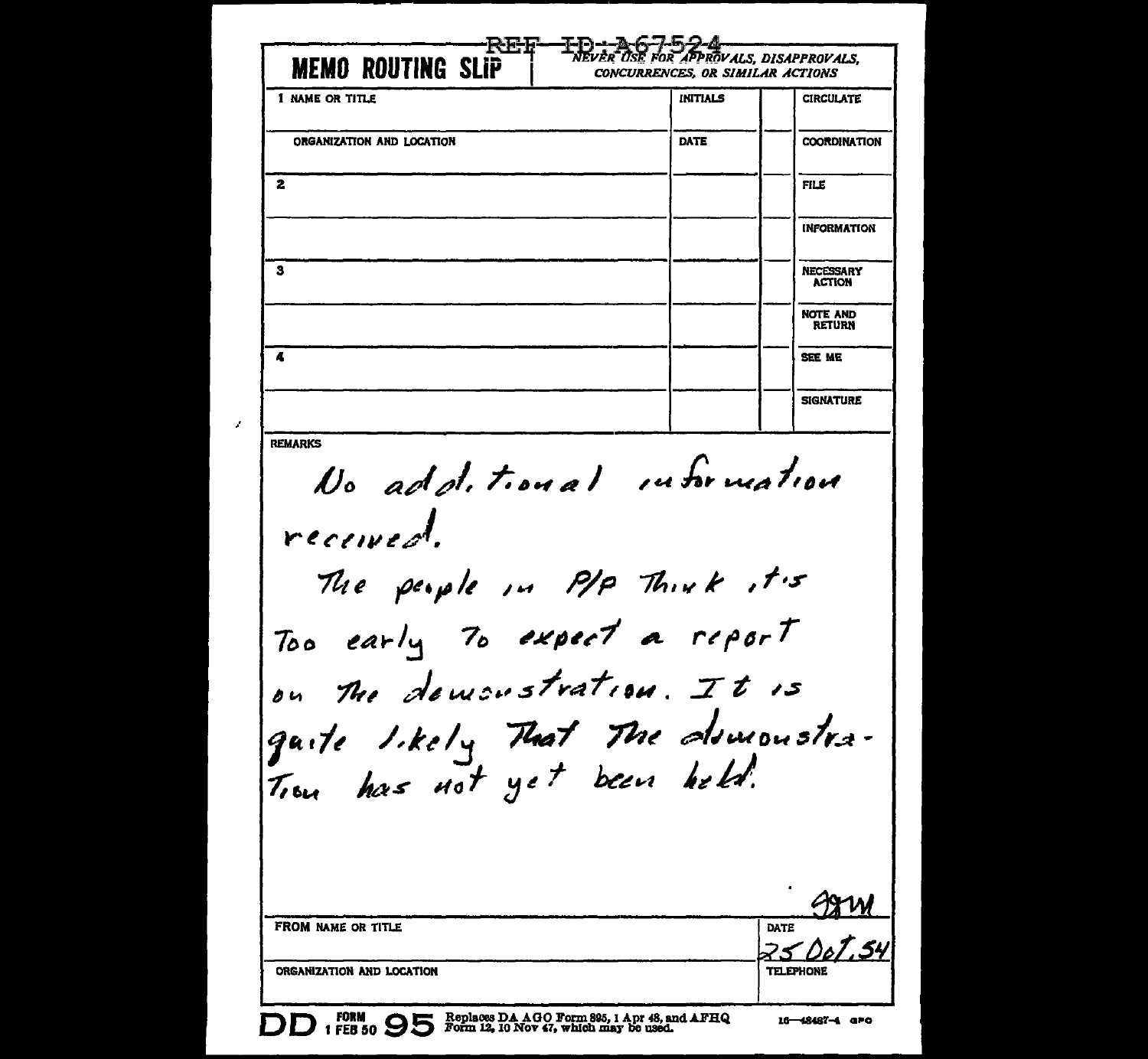|                                                                                                                                | <b>INITIALS</b> | <b>CIRCULATE</b>                  |
|--------------------------------------------------------------------------------------------------------------------------------|-----------------|-----------------------------------|
| ORGANIZATION AND LOCATION                                                                                                      | DATE            | <b>COORDINATION</b>               |
| 2                                                                                                                              |                 | <b>FILE</b>                       |
|                                                                                                                                |                 | <b>INFORMATION</b>                |
| з                                                                                                                              |                 | <b>NECESSARY</b><br><b>ACTION</b> |
|                                                                                                                                |                 | <b>NOTE AND</b><br><b>RETURN</b>  |
| Æ                                                                                                                              |                 | SEE ME                            |
|                                                                                                                                |                 | <b>SIGNATURE</b>                  |
| Too early To expect a report<br>on The demonstration. It is<br>gaite I.kely That The domonstra-<br>Trou has not yet been held. |                 |                                   |
|                                                                                                                                |                 |                                   |